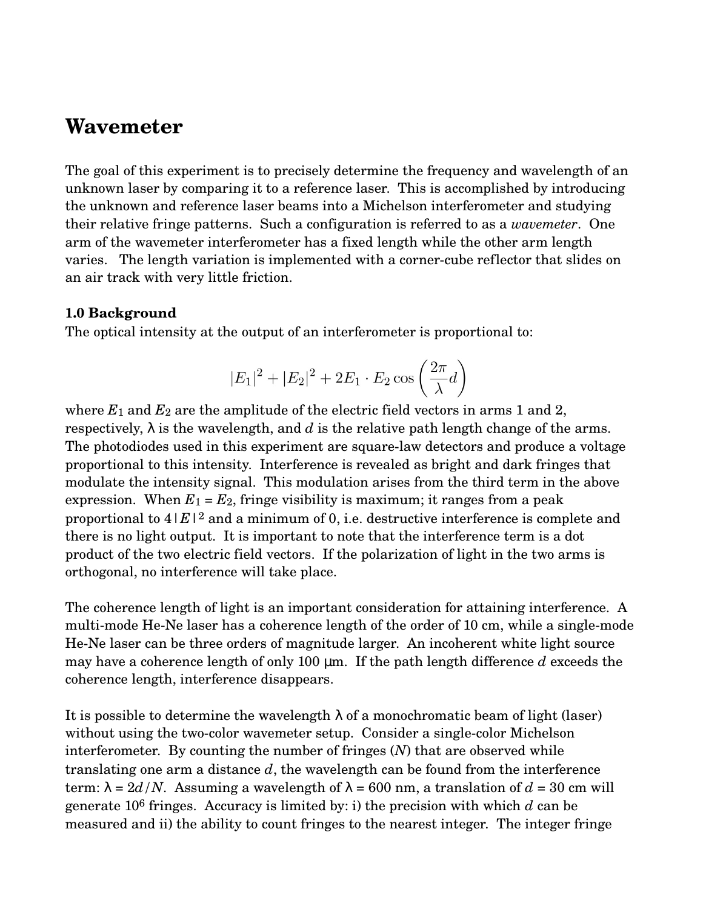## **Wavemeter**

The goal of this experiment is to precisely determine the frequency and wavelength of an unknown laser by comparing it to a reference laser. This is accomplished by introducing the unknown and reference laser beams into a Michelson interferometer and studying their relative fringe patterns. Such a configuration is referred to as a *wavemeter*. One arm of the wavemeter interferometer has a fixed length while the other arm length varies. The length variation is implemented with a corner-cube reflector that slides on an air track with very little friction.

## **1.0 Background**

The optical intensity at the output of an interferometer is proportional to:

$$
|E_1|^2 + |E_2|^2 + 2E_1 \cdot E_2 \cos\left(\frac{2\pi}{\lambda}d\right)
$$

where  $E_1$  and  $E_2$  are the amplitude of the electric field vectors in arms 1 and 2, respectively,  $\lambda$  is the wavelength, and *d* is the relative path length change of the arms. The photodiodes used in this experiment are square-law detectors and produce a voltage proportional to this intensity. Interference is revealed as bright and dark fringes that modulate the intensity signal. This modulation arises from the third term in the above expression. When  $E_1 = E_2$ , fringe visibility is maximum; it ranges from a peak proportional to  $4|E|^2$  and a minimum of 0, i.e. destructive interference is complete and there is no light output. It is important to note that the interference term is a dot product of the two electric field vectors. If the polarization of light in the two arms is orthogonal, no interference will take place.

The coherence length of light is an important consideration for attaining interference. A multi-mode He-Ne laser has a coherence length of the order of 10 cm, while a single-mode He-Ne laser can be three orders of magnitude larger. An incoherent white light source may have a coherence length of only 100 µm. If the path length difference *d* exceeds the coherence length, interference disappears.

It is possible to determine the wavelength  $\lambda$  of a monochromatic beam of light (laser) without using the two-color wavemeter setup. Consider a single-color Michelson interferometer. By counting the number of fringes (*N*) that are observed while translating one arm a distance *d*, the wavelength can be found from the interference term:  $\lambda = 2d/N$ . Assuming a wavelength of  $\lambda = 600$  nm, a translation of  $d = 30$  cm will generate 106 fringes. Accuracy is limited by: i) the precision with which *d* can be measured and ii) the ability to count fringes to the nearest integer. The integer fringe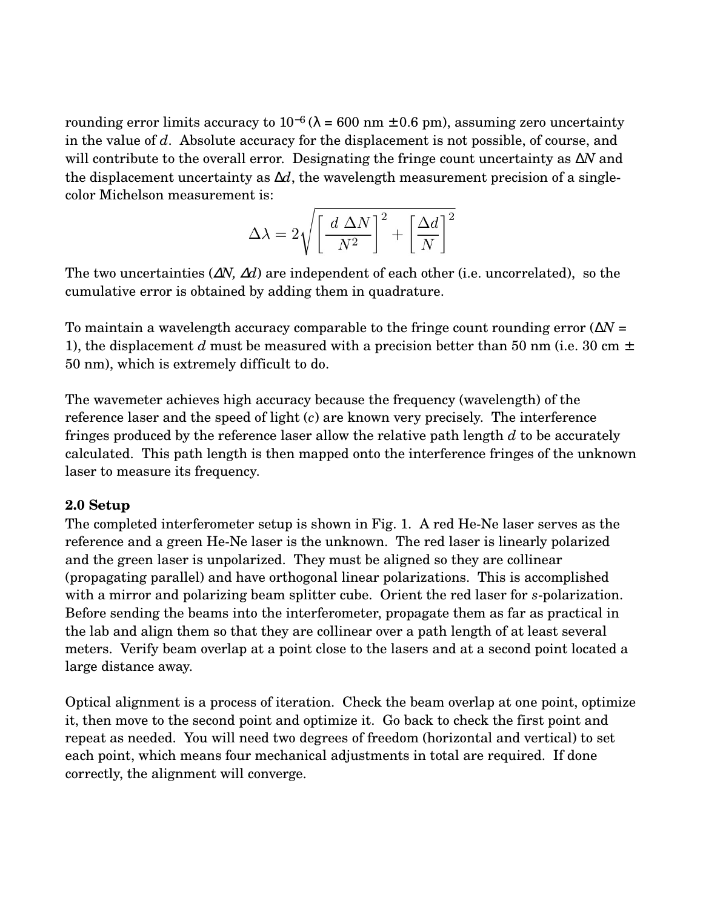rounding error limits accuracy to  $10^{-6}$  ( $\lambda = 600$  nm  $\pm$  0.6 pm), assuming zero uncertainty in the value of *d*. Absolute accuracy for the displacement is not possible, of course, and will contribute to the overall error. Designating the fringe count uncertainty as ∆*N* and the displacement uncertainty as ∆*d*, the wavelength measurement precision of a singlecolor Michelson measurement is:

$$
\Delta \lambda = 2 \sqrt{\left[ \frac{\,d\,\Delta N}{N^2} \right]^2 + \left[ \frac{\Delta d}{N} \right]^2}
$$

The two uncertainties (∆*N,* ∆*d*) are independent of each other (i.e. uncorrelated), so the cumulative error is obtained by adding them in quadrature.

To maintain a wavelength accuracy comparable to the fringe count rounding error (∆*N* = 1), the displacement *d* must be measured with a precision better than 50 nm (i.e. 30 cm  $\pm$ 50 nm), which is extremely difficult to do.

The wavemeter achieves high accuracy because the frequency (wavelength) of the reference laser and the speed of light (*c*) are known very precisely. The interference fringes produced by the reference laser allow the relative path length *d* to be accurately calculated. This path length is then mapped onto the interference fringes of the unknown laser to measure its frequency.

## **2.0 Setup**

The completed interferometer setup is shown in Fig. 1. A red He-Ne laser serves as the reference and a green He-Ne laser is the unknown. The red laser is linearly polarized and the green laser is unpolarized. They must be aligned so they are collinear (propagating parallel) and have orthogonal linear polarizations. This is accomplished with a mirror and polarizing beam splitter cube. Orient the red laser for *s*-polarization. Before sending the beams into the interferometer, propagate them as far as practical in the lab and align them so that they are collinear over a path length of at least several meters. Verify beam overlap at a point close to the lasers and at a second point located a large distance away.

Optical alignment is a process of iteration. Check the beam overlap at one point, optimize it, then move to the second point and optimize it. Go back to check the first point and repeat as needed. You will need two degrees of freedom (horizontal and vertical) to set each point, which means four mechanical adjustments in total are required. If done correctly, the alignment will converge.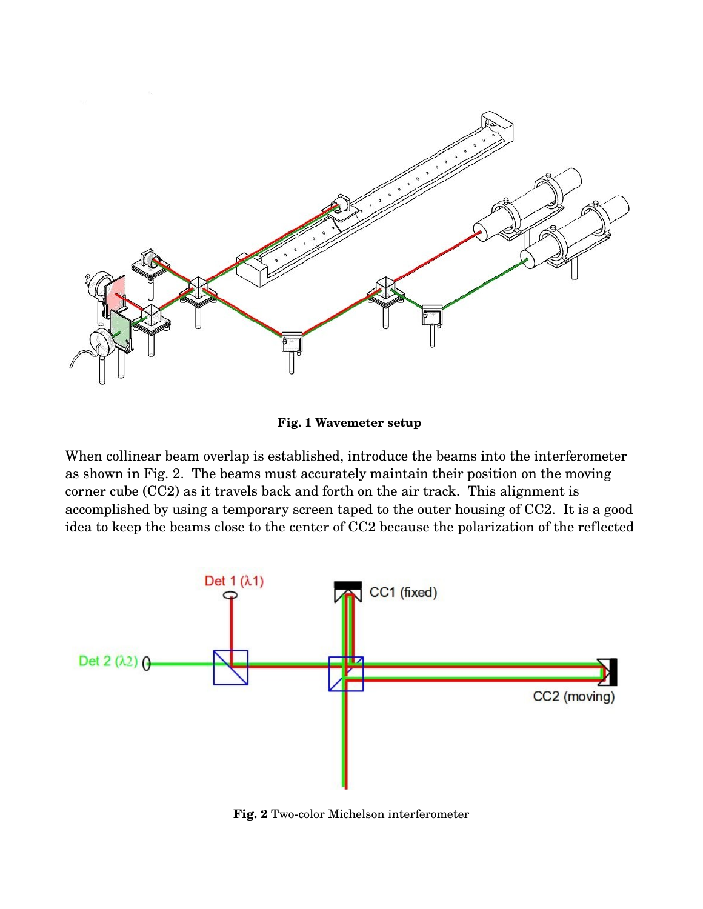

**Fig. 1 Wavemeter setup** 

When collinear beam overlap is established, introduce the beams into the interferometer as shown in Fig. 2. The beams must accurately maintain their position on the moving corner cube (CC2) as it travels back and forth on the air track. This alignment is accomplished by using a temporary screen taped to the outer housing of CC2. It is a good idea to keep the beams close to the center of CC2 because the polarization of the reflected



Fig. 2 Two-color Michelson interferometer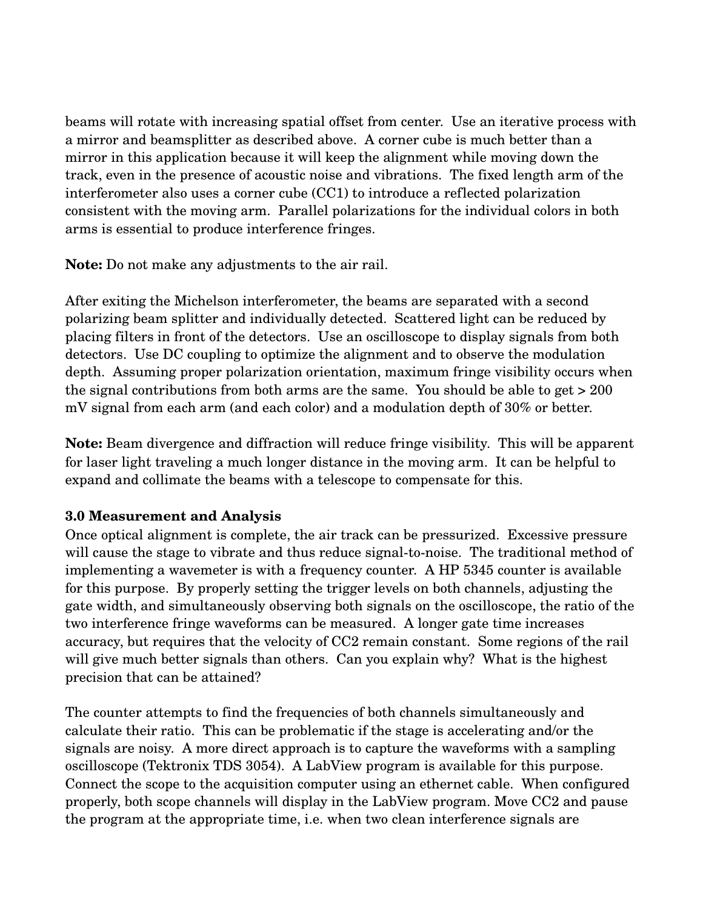beams will rotate with increasing spatial offset from center. Use an iterative process with a mirror and beamsplitter as described above. A corner cube is much better than a mirror in this application because it will keep the alignment while moving down the track, even in the presence of acoustic noise and vibrations. The fixed length arm of the interferometer also uses a corner cube (CC1) to introduce a reflected polarization consistent with the moving arm. Parallel polarizations for the individual colors in both arms is essential to produce interference fringes.

**Note:** Do not make any adjustments to the air rail.

After exiting the Michelson interferometer, the beams are separated with a second polarizing beam splitter and individually detected. Scattered light can be reduced by placing filters in front of the detectors. Use an oscilloscope to display signals from both detectors. Use DC coupling to optimize the alignment and to observe the modulation depth. Assuming proper polarization orientation, maximum fringe visibility occurs when the signal contributions from both arms are the same. You should be able to get > 200 mV signal from each arm (and each color) and a modulation depth of 30% or better.

**Note:** Beam divergence and diffraction will reduce fringe visibility. This will be apparent for laser light traveling a much longer distance in the moving arm. It can be helpful to expand and collimate the beams with a telescope to compensate for this.

## **3.0 Measurement and Analysis**

Once optical alignment is complete, the air track can be pressurized. Excessive pressure will cause the stage to vibrate and thus reduce signal-to-noise. The traditional method of implementing a wavemeter is with a frequency counter. A HP 5345 counter is available for this purpose. By properly setting the trigger levels on both channels, adjusting the gate width, and simultaneously observing both signals on the oscilloscope, the ratio of the two interference fringe waveforms can be measured. A longer gate time increases accuracy, but requires that the velocity of CC2 remain constant. Some regions of the rail will give much better signals than others. Can you explain why? What is the highest precision that can be attained?

The counter attempts to find the frequencies of both channels simultaneously and calculate their ratio. This can be problematic if the stage is accelerating and/or the signals are noisy. A more direct approach is to capture the waveforms with a sampling oscilloscope (Tektronix TDS 3054). A LabView program is available for this purpose. Connect the scope to the acquisition computer using an ethernet cable. When configured properly, both scope channels will display in the LabView program. Move CC2 and pause the program at the appropriate time, i.e. when two clean interference signals are